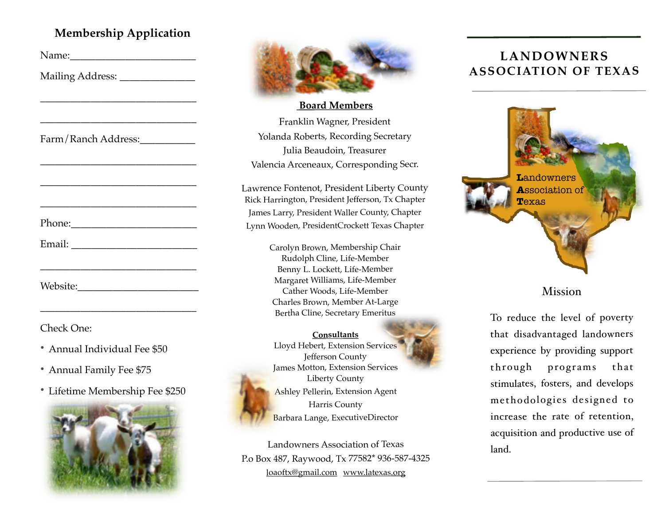## **Membership Application**

| Mailing Address: _______________ |  |
|----------------------------------|--|
|                                  |  |
|                                  |  |
| Farm/Ranch Address:              |  |
|                                  |  |
|                                  |  |
|                                  |  |
|                                  |  |
|                                  |  |
|                                  |  |
|                                  |  |
|                                  |  |

Check One:

- Annual Individual Fee \$50
- Annual Family Fee \$75
- Lifetime Membership Fee \$250





 **Board Members** Franklin Wagner, President Yolanda Roberts, Recording Secretary Julia Beaudoin, Treasurer Valencia Arceneaux, Corresponding Secr.

Lawrence Fontenot, President Liberty County Rick Harrington, President Jefferson, Tx Chapter James Larry, President Waller County, Chapter Lynn Wooden, PresidentCrockett Texas Chapter

> Carolyn Brown, Membership Chair Rudolph Cline, Life-Member Benny L. Lockett, Life-Member Margaret Williams, Life-Member Cather Woods, Life-Member Charles Brown, Member At-Large Bertha Cline, Secretary Emeritus

**Consultants** Lloyd Hebert, Extension Services Jefferson County James Motton, Extension Services Liberty County Ashley Pellerin, Extension Agent Harris County Barbara Lange, ExecutiveDirector

Landowners Association of Texas P.o Box 487, Raywood, Tx 77582\* 936-587-4325 [loaoftx@gmail.com](mailto:loaoftx@gmail.com) [www.latexas.org](http://www.latexas.org)

# **LANDOWNERS ASSOCIATION OF TEXAS**



#### Mission

To reduce the level of poverty that disadvantaged landowners experience by providing support through programs that stimulates, fosters, and develops methodologies designed to increase the rate of retention, acquisition and productive use of land.